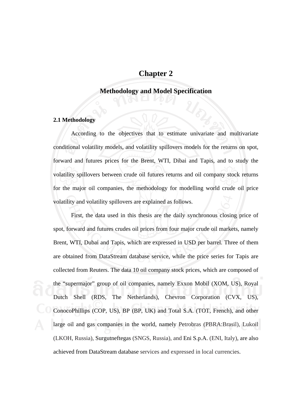## **Chapter 2**

## **Methodology and Model Specification**

## **2.1 Methodology**

 According to the objectives that to estimate univariate and multivariate conditional volatility models, and volatility spillovers models for the returns on spot, forward and futures prices for the Brent, WTI, Dibai and Tapis, and to study the volatility spillovers between crude oil futures returns and oil company stock returns for the major oil companies, the methodology for modelling world crude oil price volatility and volatility spillovers are explained as follows.

 First, the data used in this thesis are the daily synchronous closing price of spot, forward and futures crudes oil prices from four major crude oil markets, namely Brent, WTI, Dubai and Tapis, which are expressed in USD per barrel. Three of them are obtained from DataStream database service, while the price series for Tapis are collected from Reuters. The data 10 oil company stock prices, which are composed of the "supermajor" group of oil companies, namely Exxon Mobil (XOM, US), Royal Dutch Shell (RDS, The Netherlands), Chevron Corporation (CVX, US), ConocoPhillips (COP, US), BP (BP, UK) and Total S.A. (TOT, French), and other large oil and gas companies in the world, namely Petrobras (PBRA:Brasil), Lukoil (LKOH, Russia), Surgutneftegas (SNGS, Russia), and Eni S.p.A. (ENI, Italy), are also achieved from DataStream database services and expressed in local currencies.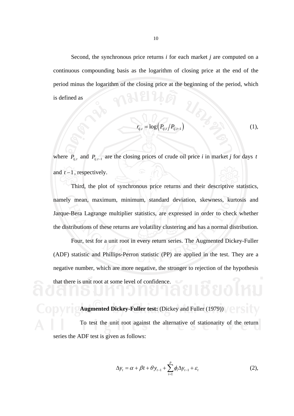Second, the synchronous price returns *i* for each market *j* are computed on a continuous compounding basis as the logarithm of closing price at the end of the period minus the logarithm of the closing price at the beginning of the period, which is defined as

$$
r_{ij,t} = \log\left(P_{ij,t}/P_{ij,t-1}\right) \tag{1}
$$

where  $P_{ij,t}$  and  $P_{ij,t-1}$  are the closing prices of crude oil price *i* in market *j* for days *t* and *t* −1 , respectively.

 Third, the plot of synchronous price returns and their descriptive statistics, namely mean, maximum, minimum, standard deviation, skewness, kurtosis and Jarque-Bera Lagrange multiplier statistics, are expressed in order to check whether the distributions of these returns are volatility clustering and has a normal distribution.

 Four, test for a unit root in every return series. The Augmented Dickey-Fuller (ADF) statistic and Phillips-Perron statistic (PP) are applied in the test. They are a negative number, which are more negative, the stronger to rejection of the hypothesis that there is unit root at some level of confidence.

# **Augmented Dickey-Fuller test:** (Dickey and Fuller (1979))

To test the unit root against the alternative of stationarity of the return series the ADF test is given as follows:

$$
\Delta y_t = \alpha + \beta t + \theta y_{t-1} + \sum_{i=1}^p \phi_i \Delta y_{t-1} + \varepsilon_t
$$
 (2),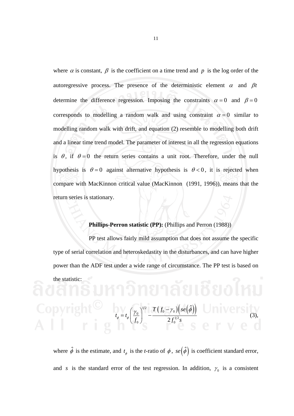where  $\alpha$  is constant,  $\beta$  is the coefficient on a time trend and  $p$  is the log order of the autoregressive process. The presence of the deterministic element  $\alpha$  and  $\beta t$ determine the difference regression. Imposing the constraints  $\alpha = 0$  and  $\beta = 0$ corresponds to modelling a random walk and using constraint  $\alpha = 0$  similar to modelling random walk with drift, and equation (2) resemble to modelling both drift and a linear time trend model. The parameter of interest in all the regression equations is  $\theta$ , if  $\theta = 0$  the return series contains a unit root. Therefore, under the null hypothesis is  $\theta = 0$  against alternative hypothesis is  $\theta < 0$ , it is rejected when compare with MacKinnon critical value (MacKinnon (1991, 1996)), means that the return series is stationary.

## **Phillips-Perron statistic (PP):** (Phillips and Perron (1988))

 PP test allows fairly mild assumption that does not assume the specific type of serial correlation and heteroskedastity in the disturbances, and can have higher power than the ADF test under a wide range of circumstance. The PP test is based on the statistic:

where  $\hat{\phi}$  is the estimate, and  $t_{\phi}$  is the *t*-ratio of  $\phi$ ,  $se(\hat{\phi})$  is coefficient standard error, and *s* is the standard error of the test regression. In addition,  $\gamma_0$  is a consistent

 $0$  )  $2J_0$ 

 $t_{\phi}=t_{\phi} \Biggl( \frac{\gamma_0}{f_0} \Biggr)^{\!\!1/2} - \frac{T \, \bigl( f_0-\gamma_0 \bigr) \bigl( se \bigl( \hat{\phi} \bigr) }{2 f_0^{\,1/2} s}$ 

 $\int_0^{\gamma/2} \int T\big(f_0-\gamma_0\big)\Big(s e\Big(\hat{\phi}\Big)\Big)$ 

2

 $T(f_0 - \gamma_0)$  se

 $1/2$ 

 $\hat{b}$ 

 $(3),$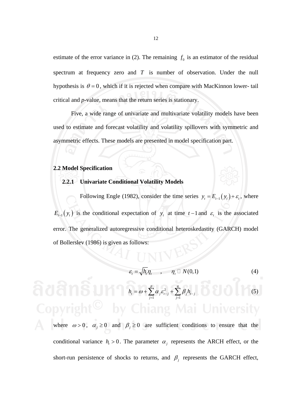estimate of the error variance in (2). The remaining  $f_0$  is an estimator of the residual spectrum at frequency zero and *T* is number of observation. Under the null hypothesis is  $\theta = 0$ , which if it is rejected when compare with MacKinnon lower- tail critical and *p-*value, means that the return series is stationary.

 Five, a wide range of univariate and multivariate volatility models have been used to estimate and forecast volatility and volatility spillovers with symmetric and asymmetric effects. These models are presented in model specification part.

#### **2.2 Model Specification**

#### **2.2.1 Univariate Conditional Volatility Models**

Following Engle (1982), consider the time series  $y_t = E_{t-1}(y_t) + \varepsilon_t$ , where  $E_{t-1}(y_t)$  is the conditional expectation of  $y_t$  at time  $t-1$  and  $\varepsilon_t$  is the associated error. The generalized autoregressive conditional heteroskedastity (GARCH) model of Bollerslev (1986) is given as follows:

$$
\varepsilon_t = \sqrt{h_t} \eta_t, \qquad \eta_t \sqcup N(0,1) \tag{4}
$$

$$
h_{i} = \omega + \sum_{j=1}^{p} \alpha_{j} \varepsilon_{t-j}^{2} + \sum_{j=1}^{q} \beta_{j} h_{t-j}
$$
 (5)

where  $\omega > 0$ ,  $\alpha_j \ge 0$  and  $\beta_j \ge 0$  are sufficient conditions to ensure that the conditional variance  $h_t > 0$ . The parameter  $\alpha_i$  represents the ARCH effect, or the short-run persistence of shocks to returns, and  $\beta_j$  represents the GARCH effect,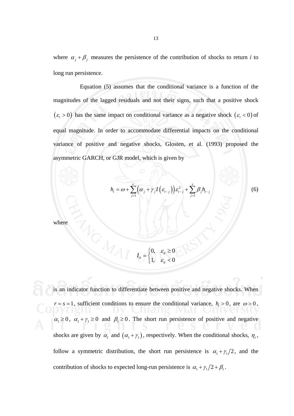where  $\alpha_j + \beta_j$  measures the persistence of the contribution of shocks to return *i* to long run persistence.

 Equation (5) assumes that the conditional variance is a function of the magnitudes of the lagged residuals and not their signs, such that a positive shock  $(\varepsilon_t > 0)$  has the same impact on conditional variance as a negative shock  $(\varepsilon_t < 0)$  of equal magnitude. In order to accommodate differential impacts on the conditional variance of positive and negative shocks, Glosten, et al. (1993) proposed the asymmetric GARCH, or GJR model, which is given by

$$
h_{i} = \omega + \sum_{j=1}^{r} \left( \alpha_{j} + \gamma_{j} I\left(\varepsilon_{t-j}\right) \right) \varepsilon_{t-j}^{2} + \sum_{j=1}^{s} \beta_{j} h_{t-j}
$$
 (6)

where

 $0, \quad \varepsilon_{i} \geq 0$ 1,  $\varepsilon_{ii} < 0$ *it*  $I_{it} = \begin{cases} 0, & \varepsilon \\ 1, & \varepsilon \end{cases}$ *it*  $=\begin{cases} 0, & \varepsilon_{ii} \ge 0, \\ 1, & \varepsilon_{ii} \le 0. \end{cases}$  $\begin{bmatrix} 1, & \varepsilon_{it} \end{bmatrix}$ 

is an indicator function to differentiate between positive and negative shocks. When  $r = s = 1$ , sufficient conditions to ensure the conditional variance,  $h<sub>t</sub> > 0$ , are  $\omega > 0$ ,  $\alpha_1 \geq 0$ ,  $\alpha_1 + \gamma_1 \geq 0$  and  $\beta_1 \geq 0$ . The short run persistence of positive and negative shocks are given by  $\alpha_1$  and  $(\alpha_1 + \gamma_1)$ , respectively. When the conditional shocks,  $\eta_t$ , follow a symmetric distribution, the short run persistence is  $\alpha_1 + \gamma_1/2$ , and the contribution of shocks to expected long-run persistence is  $\alpha_1 + \gamma_1/2 + \beta_1$ .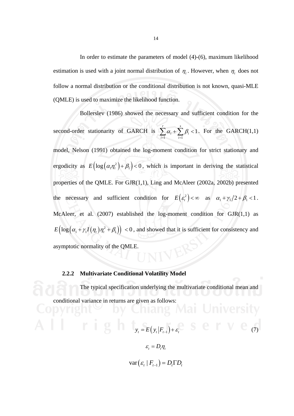In order to estimate the parameters of model (4)-(6), maximum likelihood estimation is used with a joint normal distribution of  $\eta_t$ . However, when  $\eta_t$  does not follow a normal distribution or the conditional distribution is not known, quasi-MLE (QMLE) is used to maximize the likelihood function.

 Bollerslev (1986) showed the necessary and sufficient condition for the second-order stationarity of GARCH is  $-1$   $i=1$  $\sum_{i=1}^r \alpha_i + \sum_{i=1}^s \beta_i < 1$  $i^{\perp} \nsubseteq P_i$ *i i*  $\alpha_i + \sum \beta_i$  $\sum_{i=1}^n \alpha_i + \sum_{i=1}^n \beta_i < 1$ . For the GARCH(1,1) model, Nelson (1991) obtained the log-moment condition for strict stationary and ergodicity as  $E\left(\log(\alpha_1 n_i^2) + \beta_1\right) < 0$ , which is important in deriving the statistical properties of the QMLE. For GJR(1,1), Ling and McAleer (2002a, 2002b) presented the necessary and sufficient condition for  $E(e_i^2) < \infty$  as  $\alpha_1 + \gamma_1/2 + \beta_1 < 1$ . McAleer, et al.  $(2007)$  established the log-moment condition for  $GJR(1,1)$  as  $E\left(\log\left(\alpha_1+\gamma_1I(\eta_t)\eta_t^2+\beta_1\right)\right)<0$ , and showed that it is sufficient for consistency and asymptotic normality of the QMLE.

### **2.2.2 Multivariate Conditional Volatility Model**

 The typical specification underlying the multivariate conditional mean and conditional variance in returns are given as follows:<br>
OWER COMPANY AND THE RETURNS

A 
$$
\mathbf{r} = \mathbf{r}(y_t | F_{t-1}) + \varepsilon_t^2
$$
   
\n
$$
\varepsilon_t = D_t \eta_t
$$

$$
\text{var}(\varepsilon_t | F_{t-1}) = D_t \Gamma D_t
$$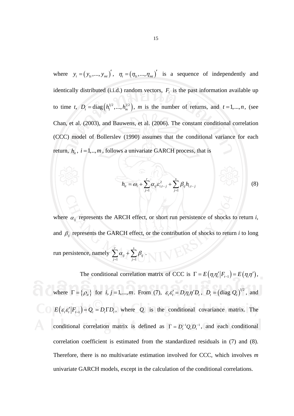where  $y_t = (y_{1t}, ..., y_{mt})'$ ,  $\eta_t = (\eta_{1t}, ..., \eta_{mt})'$  is a sequence of independently and identically distributed (i.i.d.) random vectors,  $F<sub>t</sub>$  is the past information available up to time *t*,  $D_t = \text{diag}(h_1^{1/2},..., h_m^{1/2})$ , *m* is the number of returns, and  $t = 1,...,n$ , (see Chan, et al. (2003), and Bauwens, et al. (2006). The constant conditional correlation (CCC) model of Bollerslev (1990) assumes that the conditional variance for each return,  $h_{ii}$ ,  $i = 1, ..., m$ , follows a univariate GARCH process, that is

$$
h_{it} = \omega_i + \sum_{j=1}^r \alpha_{ij} \varepsilon_{i,t-j}^2 + \sum_{j=1}^s \beta_{ij} h_{i,t-j}
$$
 (8)

where  $\alpha_{ij}$  represents the ARCH effect, or short run persistence of shocks to return *i*, and  $\beta_{ij}$  represents the GARCH effect, or the contribution of shocks to return *i* to long run persistence, namely  $-1$   $j=1$ *r s ij* ' $\angle P_{ij}$ *j j*  $\alpha_{ii} + \sum \beta_{ii}$  $\sum_{j=1} \alpha_{ij} + \sum_{j=1} \beta_{ij}.$ 

The conditional correlation matrix of CCC is  $\Gamma = E(\eta_i \eta'_i | F_{t-1}) = E(\eta_i \eta')$ , where  $\Gamma = {\rho_i}$  for *i*,  $j = 1,..., m$ . From (7),  $\varepsilon_i \varepsilon'_i = D_i \eta_i \eta' D_i$ ,  $D_i = (\text{diag } Q_i)^{1/2}$ , and  $E\left(\varepsilon_{t} \varepsilon'_{t} | F_{t-1}\right) = Q_{t} = D_{t} \Gamma D_{t}$ , where  $Q_{t}$  is the conditional covariance matrix. The conditional correlation matrix is defined as  $\Gamma = D_t^{-1} Q_t D_t^{-1}$ , and each conditional correlation coefficient is estimated from the standardized residuals in (7) and (8). Therefore, there is no multivariate estimation involved for CCC, which involves *m* univariate GARCH models, except in the calculation of the conditional correlations.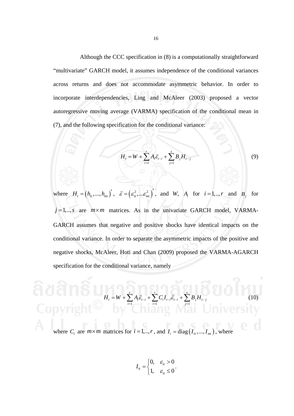Although the CCC specification in (8) is a computationally straightforward "multivariate" GARCH model, it assumes independence of the conditional variances across returns and does not accommodate asymmetric behavior. In order to incorporate interdependencies, Ling and McAleer (2003) proposed a vector autoregressive moving average (VARMA) specification of the conditional mean in (7), and the following specification for the conditional variance:

$$
H_{t} = W + \sum_{i=1}^{r} A_{i} \vec{\varepsilon}_{t-i} + \sum_{j=1}^{s} B_{j} H_{t-j}
$$
 (9)

where  $H_i = (h_{1i}, ..., h_{mi})'$ ,  $\vec{\varepsilon} = (\varepsilon_{1i}^2, ..., \varepsilon_{mi}^2)'$ , and *W*,  $A_i$  for  $i = 1, ..., r$  and  $B_i$  for  $j=1,..,s$  are  $m \times m$  matrices. As in the univariate GARCH model, VARMA-GARCH assumes that negative and positive shocks have identical impacts on the conditional variance. In order to separate the asymmetric impacts of the positive and negative shocks, McAleer, Hoti and Chan (2009) proposed the VARMA-AGARCH specification for the conditional variance, namely

$$
H_{t} = W + \sum_{i=1}^{r} A_{i} \vec{e}_{t-i} + \sum_{i=1}^{r} C_{i} I_{t-i} \vec{e}_{t-i} + \sum_{j=1}^{s} B_{j} H_{t-j}
$$
(10)  
Copy 118  
Where  $C_{i}$  are  $m \times m$  matrices for  $i = 1, ..., r$ , and  $I_{t} = diag(I_{1t}, ..., I_{mt})$ , where

$$
I_{it} = \begin{cases} 0, & \varepsilon_{it} > 0 \\ 1, & \varepsilon_{it} \le 0 \end{cases}.
$$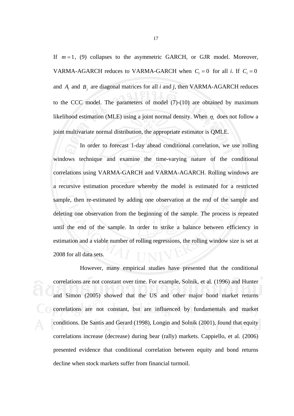If  $m = 1$ , (9) collapses to the asymmetric GARCH, or GJR model. Moreover, VARMA-AGARCH reduces to VARMA-GARCH when  $C_i = 0$  for all *i*. If  $C_i = 0$ and  $A_i$  and  $B_j$  are diagonal matrices for all *i* and *j*, then VARMA-AGARCH reduces to the CCC model. The parameters of model (7)-(10) are obtained by maximum likelihood estimation (MLE) using a joint normal density. When  $\eta_t$  does not follow a joint multivariate normal distribution, the appropriate estimator is QMLE.

 In order to forecast 1-day ahead conditional correlation, we use rolling windows technique and examine the time-varying nature of the conditional correlations using VARMA-GARCH and VARMA-AGARCH. Rolling windows are a recursive estimation procedure whereby the model is estimated for a restricted sample, then re-estimated by adding one observation at the end of the sample and deleting one observation from the beginning of the sample. The process is repeated until the end of the sample. In order to strike a balance between efficiency in estimation and a viable number of rolling regressions, the rolling window size is set at 2008 for all data sets.

 However, many empirical studies have presented that the conditional correlations are not constant over time. For example, Solnik, et al. (1996) and Hunter and Simon (2005) showed that the US and other major bond market returns correlations are not constant, but are influenced by fundamentals and market conditions. De Santis and Gerard (1998), Longin and Solnik (2001), found that equity correlations increase (decrease) during bear (rally) markets. Cappiello, et al. (2006) presented evidence that conditional correlation between equity and bond returns decline when stock markets suffer from financial turmoil.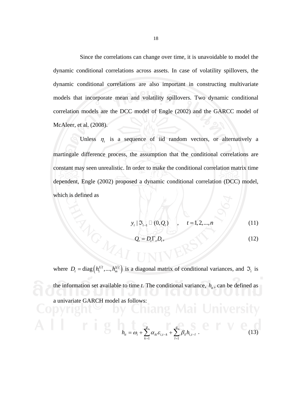Since the correlations can change over time, it is unavoidable to model the dynamic conditional correlations across assets. In case of volatility spillovers, the dynamic conditional correlations are also important in constructing multivariate models that incorporate mean and volatility spillovers. Two dynamic conditional correlation models are the DCC model of Engle (2002) and the GARCC model of McAleer, et al. (2008).

Unless  $\eta_t$  is a sequence of iid random vectors, or alternatively a martingale difference process, the assumption that the conditional correlations are constant may seen unrealistic. In order to make the conditional correlation matrix time dependent, Engle (2002) proposed a dynamic conditional correlation (DCC) model, which is defined as

$$
y_t | \mathfrak{I}_{t-1} \sqcup (0, Q_t)
$$
,  $t = 1, 2, ..., n$  (11)

$$
Q_t = D_t \Gamma_t D_t, \tag{12}
$$

where  $D_t = \text{diag}(h_1^{1/2},..., h_m^{1/2})$  is a diagonal matrix of conditional variances, and  $\mathfrak{I}_t$  is the information set available to time *t*. The conditional variance,  $h<sub>i</sub>$ , can be defined as a univariate GARCH model as follows:<br>
and a state of the state of the state of the state of the state of the state of the state of the state of the state of the state of the state of the state of the state of the state of

$$
h_{ii} = \omega_i + \sum_{k=1}^{p} \alpha_{ik} \varepsilon_{i,t-k} + \sum_{l=1}^{q} \beta_{il} h_{i,t-l}.
$$
 (13)